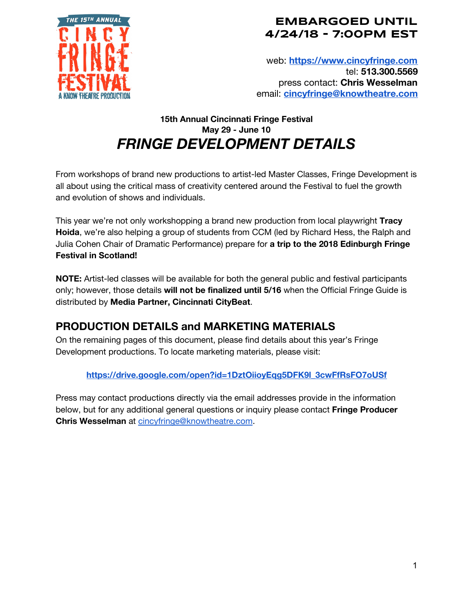

## **EMBARGOED UNTIL 4/24/18 - 7:00PM EST**

web: **[https://www.cincyfringe.com](https://www.cincyfringe.com/)** tel: **513.300.5569** press contact: **Chris Wesselman** email: **[cincyfringe@knowtheatre.com](mailto:cincyfringe@knowtheatre.com)**

## **15th Annual Cincinnati Fringe Festival May 29 - June 10** *FRINGE DEVELOPMENT DETAILS*

From workshops of brand new productions to artist-led Master Classes, Fringe Development is all about using the critical mass of creativity centered around the Festival to fuel the growth and evolution of shows and individuals.

This year we're not only workshopping a brand new production from local playwright **Tracy Hoida**, we're also helping a group of students from CCM (led by Richard Hess, the Ralph and Julia Cohen Chair of Dramatic Performance) prepare for **a trip to the 2018 Edinburgh Fringe Festival in Scotland!**

**NOTE:** Artist-led classes will be available for both the general public and festival participants only; however, those details **will not be finalized until 5/16** when the Official Fringe Guide is distributed by **Media Partner, Cincinnati CityBeat**.

# **PRODUCTION DETAILS and MARKETING MATERIALS**

On the remaining pages of this document, please find details about this year's Fringe Development productions. To locate marketing materials, please visit:

#### **[https://drive.google.com/open?id=1DztOiioyEqg5DFK9l\\_3cwFfRsFO7oUSf](https://drive.google.com/open?id=1DztOiioyEqg5DFK9l_3cwFfRsFO7oUSf)**

Press may contact productions directly via the email addresses provide in the information below, but for any additional general questions or inquiry please contact **Fringe Producer Chris Wesselman** at [cincyfringe@knowtheatre.com](mailto:cincyfringe@knowtheatre.com).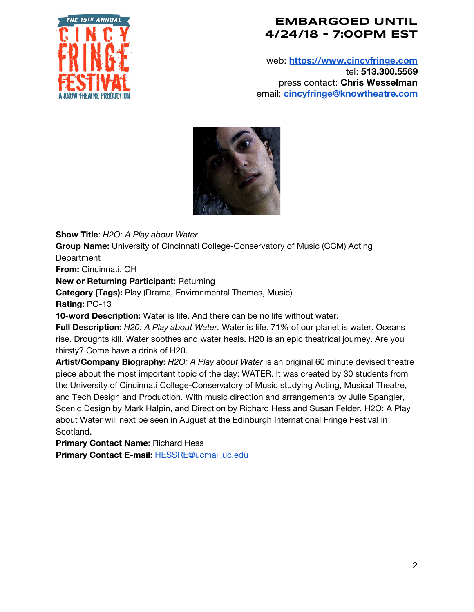

## **EMBARGOED UNTIL 4/24/18 - 7:00PM EST**

web: **[https://www.cincyfringe.com](https://www.cincyfringe.com/)** tel: **513.300.5569** press contact: **Chris Wesselman** email: **[cincyfringe@knowtheatre.com](mailto:cincyfringe@knowtheatre.com)**



**Show Title**: *H2O: A Play about Water*

**Group Name:** University of Cincinnati College-Conservatory of Music (CCM) Acting Department

**From:** Cincinnati, OH

**New or Returning Participant:** Returning

**Category (Tags):** Play (Drama, Environmental Themes, Music)

**Rating:** PG-13

**10-word Description:** Water is life. And there can be no life without water.

**Full Description:** *H20: A Play about Water.* Water is life. 71% of our planet is water. Oceans rise. Droughts kill. Water soothes and water heals. H20 is an epic theatrical journey. Are you thirsty? Come have a drink of H20.

**Artist/Company Biography:** *H2O: A Play about Water* is an original 60 minute devised theatre piece about the most important topic of the day: WATER. It was created by 30 students from the University of Cincinnati College-Conservatory of Music studying Acting, Musical Theatre, and Tech Design and Production. With music direction and arrangements by Julie Spangler, Scenic Design by Mark Halpin, and Direction by Richard Hess and Susan Felder, H2O: A Play about Water will next be seen in August at the Edinburgh International Fringe Festival in Scotland.

**Primary Contact Name:** Richard Hess

**Primary Contact E-mail:** [HESSRE@ucmail.uc.edu](mailto:HESSRE@ucmail.uc.edu)